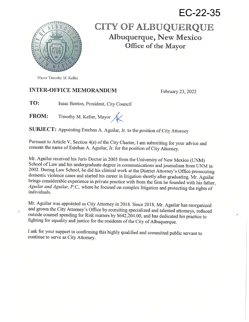EC-22-35



**CITY OF ALBUQUERQUE** Albuquerque, New Mexico Office of the Mayor

Mayor Timothy M. Keller

## **INTER-OFFICE MEMORANDUM**

February 23, 2022

TO: Isaac Benton, President, City Council

Timothy M. Keller, Mayor **FROM:** 

SUBJECT: Appointing Esteban A. Aguilar, Jr. to the position of City Attorney

Pursuant to Article V, Section 4(e) of the City Charter, I am submitting for your advice and consent the name of Esteban A. Aguilar, Jr. for the position of City Attorney.

Mr. Aguilar received his Juris Doctor in 2005 from the University of New Mexico (UNM) School of Law and his undergraduate degree in communications and journalism from UNM in 2002. During Law School, he did his clinical work at the District Attorney's Office prosecuting domestic violence cases and started his career in litigation shortly after graduating. Mr. Aguilar brings considerable experience in private practice with from the firm he founded with his father, Aguilar and Aguilar, P.C., where he focused on complex litigation and protecting the rights of individuals.

Mr. Aguilar was appointed as City Attorney in 2018. Since 2018, Mr. Aguilar has reorganized and grown the City Attorney's Office by recruiting specialized and talented attorneys, reduced outside counsel spending for Risk matters by \$642,204.00, and has dedicated his practice to fighting for equality and justice for the residents of the City of Albuquerque.

I ask for your support in confirming this highly qualified and committed public servant to continue to serve as City Attorney.